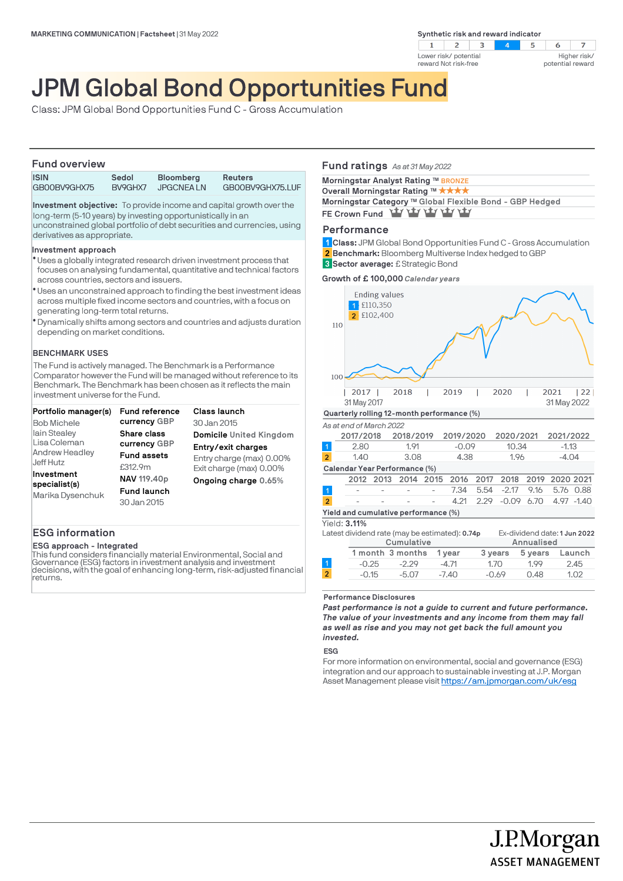**Synthetic risk and reward indicator** 





# JPM Global Bond Opportunities Fund

Class: JPM Global Bond Opportunities Fund C - Gross Accumulation

## **Fund overview**

| .            |         |                  |                  |
|--------------|---------|------------------|------------------|
| <b>ISIN</b>  | Sedol   | <b>Bloomberg</b> | <b>Reuters</b>   |
| GB00BV9GHX75 | BV9GHX7 | JPGCNEA LN       | GB00BV9GHX75.LUF |

**Investment objective:** To provide income and capital growth over the long-term (5-10 years) by investing opportunistically in an unconstrained global portfolio of debt securities and currencies, using derivatives as appropriate.

## **Investment approach**

- Uses a globally integrated research driven investment process that l focuses on analysing fundamental, quantitative and technical factors across countries, sectors and issuers.
- Uses an unconstrained approach to finding the best investment ideas l across multiple fixed income sectors and countries, with a focus on generating long-term total returns.
- Dynamically shifts among sectors and countries and adjusts duration l depending on market conditions.

## **BENCHMARK USES**

The Fund is actively managed. The Benchmark is a Performance Comparator however the Fund will be managed without reference to its Benchmark. The Benchmark has been chosen as it reflects the main investment universe for the Fund.

| Portfolio manager(s)<br><b>Bob Michele</b>                       | <b>Fund reference</b><br>currency GBP            | Class launch<br>30 Jan 2015                                               |
|------------------------------------------------------------------|--------------------------------------------------|---------------------------------------------------------------------------|
| lain Stealey                                                     | Share class                                      | <b>Domicile United Kingdom</b>                                            |
| Lisa Coleman<br><b>Andrew Headley</b><br>Jeff Hutz<br>Investment | currency GBP<br><b>Fund assets</b><br>£312.9m    | Entry/exit charges<br>Entry charge (max) 0.00%<br>Exit charge (max) 0.00% |
| specialist(s)<br>Marika Dysenchuk                                | NAV 119.40p<br><b>Fund launch</b><br>30 Jan 2015 | Ongoing charge 0.65%                                                      |

## **ESG information**

## **ESG approach - Integrated**

This fund considers financially material Environmental, Social and Governance (ESG) factors in investment analysis and investment decisions, with the goal of enhancing long-term, risk-adjusted financial returns.

## **Fund ratings** *As at 31 May 2022*

**Morningstar Analyst Rating ™ BRONZE** 

**Overall Morningstar Rating ™ ★ ★ ★** ★ **Morningstar Category TM Global Flexible Bond - GBP Hedged** FE Crown Fund **YLY YLY YLY YLY** 

## **Performance**

**Class:** JPM Global Bond Opportunities Fund C - Gross Accumulation **1 Benchmark:** Bloomberg Multiverse Index hedged to GBP **2**

**Sector average:** £ Strategic Bond **3**

**Growth of £ 100,000** *Calendar years*



#### **Performance Disclosures**

*Past performance is not a guide to current and future performance. The value of your investments and any income from them may fall as well as rise and you may not get back the full amount you invested.* 

## **ESG**

For more information on environmental, social and governance (ESG) integration and our approach to sustainable investing at J.P. Morgan Asset Management please visit https://am.jpmorgan.com/uk/esg

> J.P.Morgan **ASSET MANAGEMENT**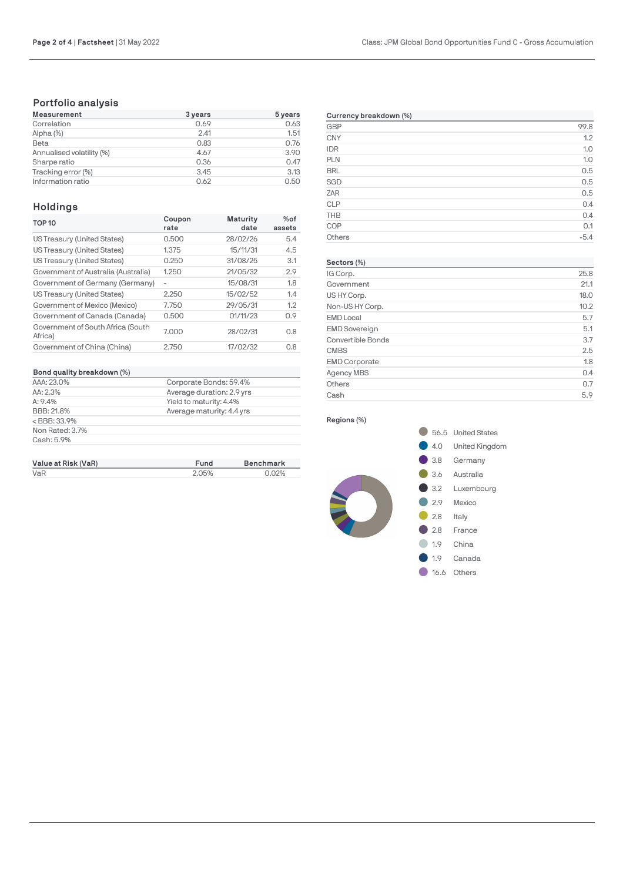# **Portfolio analysis**

| <b>Measurement</b>        | 3 years | 5 years |
|---------------------------|---------|---------|
| Correlation               | 0.69    | 0.63    |
| Alpha (%)                 | 2.41    | 1.51    |
| Beta                      | 0.83    | 0.76    |
| Annualised volatility (%) | 4.67    | 3.90    |
| Sharpe ratio              | 0.36    | 0.47    |
| Tracking error (%)        | 3.45    | 3.13    |
| Information ratio         | 0.62    | 0.50    |

## **Holdings**

| <b>TOP 10</b>                                | Coupon<br>rate | <b>Maturity</b><br>date | $%$ of<br>assets |
|----------------------------------------------|----------------|-------------------------|------------------|
| US Treasury (United States)                  | 0.500          | 28/02/26                | 5.4              |
| US Treasury (United States)                  | 1.375          | 15/11/31                | 4.5              |
| US Treasury (United States)                  | 0.250          | 31/08/25                | 3.1              |
| Government of Australia (Australia)          | 1.250          | 21/05/32                | 2.9              |
| Government of Germany (Germany)              |                | 15/08/31                | 1.8              |
| US Treasury (United States)                  | 2.250          | 15/02/52                | 1.4              |
| Government of Mexico (Mexico)                | 7.750          | 29/05/31                | 1.2              |
| Government of Canada (Canada)                | 0.500          | 01/11/23                | 0.9              |
| Government of South Africa (South<br>Africa) | 7.000          | 28/02/31                | 0.8              |
| Government of China (China)                  | 2.750          | 17/02/32                | 0.8              |

| Bond quality breakdown (%) |                           |
|----------------------------|---------------------------|
| AAA: 23.0%                 | Corporate Bonds: 59.4%    |
| AA: 2.3%                   | Average duration: 2.9 yrs |
| A:9.4%                     | Yield to maturity: 4.4%   |
| BBB: 21.8%                 | Average maturity: 4.4 yrs |
| $<$ BBB: 33.9%             |                           |
| Non Rated: 3.7%            |                           |
| Cash: 5.9%                 |                           |

| Value at Risk (VaR) | Fund  | <b>Benchmark</b> |
|---------------------|-------|------------------|
| VaR                 | 2.05% | 0.02%            |

| Currency breakdown (%) |        |  |
|------------------------|--------|--|
| GBP                    | 99.8   |  |
| <b>CNY</b>             | 1.2    |  |
| <b>IDR</b>             | 1.0    |  |
| PLN                    | 1.0    |  |
| <b>BRL</b>             | 0.5    |  |
| SGD                    | 0.5    |  |
| <b>ZAR</b>             | 0.5    |  |
| <b>CLP</b>             | 0.4    |  |
| <b>THB</b>             | 0.4    |  |
| COP                    | 0.1    |  |
| Others                 | $-5.4$ |  |

## **Sectors (%)** IG Corp. 25.8 Government 21.1 US HY Corp. 18.0 Non-US HY Corp. 10.2 EMD Local 5.7 EMD Sovereign 5.1 Convertible Bonds 3.7 CMBS 2.5 EMD Corporate 1.8 Agency MBS 0.4 Others 0.7 Cash 5.9

## **Regions (%)**

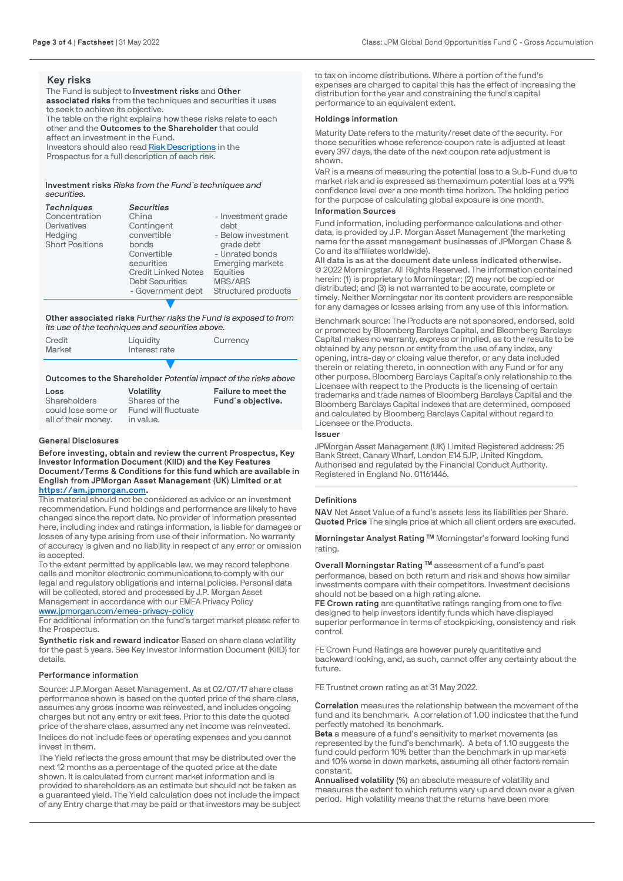## **Key risks**

The Fund is subject to **Investment risks** and **Other associated risks** from the techniques and securities it uses to seek to achieve its objective. The table on the right explains how these risks relate to each other and the **Outcomes to the Shareholder** that could affect an investment in the Fund. Investors should also read [Risk Descriptions](https://am.jpmorgan.com/gb/en/asset-management/adv/products/fund-explorer/oeics) in the

Prospectus for a full description of each risk.

**Investment risks** *Risks from the Fund´s techniques and securities.*

| <b>Techniques</b>      | <b>Securities</b>          |                         |
|------------------------|----------------------------|-------------------------|
| Concentration          | China                      | - Investment grade      |
| Derivatives            | Contingent                 | debt                    |
| Hedging                | convertible                | - Below investment      |
| <b>Short Positions</b> | bonds                      | grade debt              |
|                        | Convertible                | - Unrated bonds         |
|                        | securities                 | <b>Emerging markets</b> |
|                        | <b>Credit Linked Notes</b> | Equities                |
|                        | <b>Debt Securities</b>     | MBS/ABS                 |
|                        | - Government debt          | Structured products     |
|                        |                            |                         |

**Other associated risks** *Further risks the Fund is exposed to from its use of the techniques and securities above.*

| Credit<br>Market | Liquidity<br>Interest rate | Currency |
|------------------|----------------------------|----------|
|                  |                            |          |

## **Outcomes to the Shareholder** *Potential impact of the risks above*

| Loss                | <b>Volatility</b>   | Failure to meet the |
|---------------------|---------------------|---------------------|
| Shareholders        | Shares of the       | Fund's objective.   |
| could lose some or  | Fund will fluctuate |                     |
| all of their money. | in value.           |                     |

## **General Disclosures**

**Before investing, obtain and review the current Prospectus, Key Investor Information Document (KIID) and the Key Features Document/Terms & Conditions for this fund which are available in English from JPMorgan Asset Management (UK) Limited or at [https://am.jpmorgan.com](https://am.jpmorgan.com/).** 

This material should not be considered as advice or an investment recommendation. Fund holdings and performance are likely to have changed since the report date. No provider of information presented here, including index and ratings information, is liable for damages or losses of any type arising from use of their information. No warranty of accuracy is given and no liability in respect of any error or omission is accepted.

To the extent permitted by applicable law, we may record telephone calls and monitor electronic communications to comply with our legal and regulatory obligations and internal policies. Personal data will be collected, stored and processed by J.P. Morgan Asset Management in accordance with our EMEA Privacy Policy

## [www.jpmorgan.com/emea-privacy-policy](https://www.jpmorgan.com/emea-privacy-policy)

For additional information on the fund's target market please refer to the Prospectus.

**Synthetic risk and reward indicator** Based on share class volatility for the past 5 years. See Key Investor Information Document (KIID) for details.

#### **Performance information**

Source: J.P.Morgan Asset Management. As at 02/07/17 share class performance shown is based on the quoted price of the share class, assumes any gross income was reinvested, and includes ongoing charges but not any entry or exit fees. Prior to this date the quoted price of the share class, assumed any net income was reinvested. Indices do not include fees or operating expenses and you cannot invest in them.

The Yield reflects the gross amount that may be distributed over the next 12 months as a percentage of the quoted price at the date shown. It is calculated from current market information and is provided to shareholders as an estimate but should not be taken as a guaranteed yield. The Yield calculation does not include the impact of any Entry charge that may be paid or that investors may be subject to tax on income distributions. Where a portion of the fund's expenses are charged to capital this has the effect of increasing the distribution for the year and constraining the fund's capital performance to an equivalent extent.

#### **Holdings information**

Maturity Date refers to the maturity/reset date of the security. For those securities whose reference coupon rate is adjusted at least every 397 days, the date of the next coupon rate adjustment is shown.

VaR is a means of measuring the potential loss to a Sub-Fund due to market risk and is expressed as themaximum potential loss at a 99% [confidence level over a one m](https://am.jpmorgan.com/)onth time horizon. The holding period for the purpose of calculating global exposure is one month.

## **Information Sources**

Fund information, including performance calculations and other data, is provided by J.P. Morgan Asset Management (the marketing name for the asset management businesses of JPMorgan Chase & Co and its affiliates worldwide).

**All data is as at the document date unless indicated otherwise.** © 2022 Morningstar. All Rights Reserved. The information contained herein: (1) is proprietary to Morningstar; (2) may not be copied or distributed; and (3) is not warranted to be accurate, complete or timely. Neither Morningstar nor its content providers are responsible [for any damages or losses arising from a](https://www.jpmorgan.com/emea-privacy-policy)ny use of this information.

Benchmark source: The Products are not sponsored, endorsed, sold or promoted by Bloomberg Barclays Capital, and Bloomberg Barclays Capital makes no warranty, express or implied, as to the results to be obtained by any person or entity from the use of any index, any opening, intra-day or closing value therefor, or any data included therein or relating thereto, in connection with any Fund or for any other purpose. Bloomberg Barclays Capital's only relationship to the Licensee with respect to the Products is the licensing of certain trademarks and trade names of Bloomberg Barclays Capital and the Bloomberg Barclays Capital indexes that are determined, composed and calculated by Bloomberg Barclays Capital without regard to Licensee or the Products.

#### **Issuer**

JPMorgan Asset Management (UK) Limited Registered address: 25 Bank Street, Canary Wharf, London E14 5JP, United Kingdom. Authorised and regulated by the Financial Conduct Authority. Registered in England No. 01161446.

## **Definitions**

**NAV** Net Asset Value of a fund's assets less its liabilities per Share. **Quoted Price** The single price at which all client orders are executed.

**Morningstar Analyst Rating ™** Morningstar's forward looking fund rating.

**Overall Morningstar Rating ™** assessment of a fund's past performance, based on both return and risk and shows how similar investments compare with their competitors. Investment decisions should not be based on a high rating alone.

**FE Crown rating** are quantitative ratings ranging from one to five designed to help investors identify funds which have displayed superior performance in terms of stockpicking, consistency and risk control.

FE Crown Fund Ratings are however purely quantitative and backward looking, and, as such, cannot offer any certainty about the future.

FE Trustnet crown rating as at 31 May 2022.

**Correlation** measures the relationship between the movement of the fund and its benchmark. A correlation of 1.00 indicates that the fund perfectly matched its benchmark.

**Beta** a measure of a fund's sensitivity to market movements (as represented by the fund's benchmark). A beta of 1.10 suggests the fund could perform 10% better than the benchmark in up markets and 10% worse in down markets, assuming all other factors remain constant.

**Annualised volatility (%)** an absolute measure of volatility and measures the extent to which returns vary up and down over a given period. High volatility means that the returns have been more